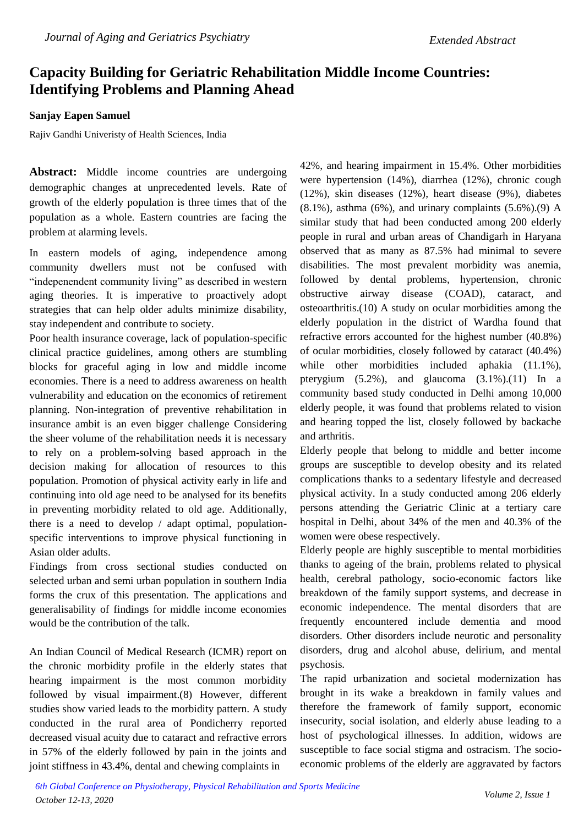## **Capacity Building for Geriatric Rehabilitation Middle Income Countries: Identifying Problems and Planning Ahead**

## **Sanjay Eapen Samuel**

Rajiv Gandhi Univeristy of Health Sciences, India

**Abstract:** Middle income countries are undergoing demographic changes at unprecedented levels. Rate of growth of the elderly population is three times that of the population as a whole. Eastern countries are facing the problem at alarming levels.

In eastern models of aging, independence among community dwellers must not be confused with "indepenendent community living" as described in western aging theories. It is imperative to proactively adopt strategies that can help older adults minimize disability, stay independent and contribute to society.

Poor health insurance coverage, lack of population-specific clinical practice guidelines, among others are stumbling blocks for graceful aging in low and middle income economies. There is a need to address awareness on health vulnerability and education on the economics of retirement planning. Non-integration of preventive rehabilitation in insurance ambit is an even bigger challenge Considering the sheer volume of the rehabilitation needs it is necessary to rely on a problem-solving based approach in the decision making for allocation of resources to this population. Promotion of physical activity early in life and continuing into old age need to be analysed for its benefits in preventing morbidity related to old age. Additionally, there is a need to develop / adapt optimal, populationspecific interventions to improve physical functioning in Asian older adults.

Findings from cross sectional studies conducted on selected urban and semi urban population in southern India forms the crux of this presentation. The applications and generalisability of findings for middle income economies would be the contribution of the talk.

An Indian Council of Medical Research (ICMR) report on the chronic morbidity profile in the elderly states that hearing impairment is the most common morbidity followed by visual impairment.(8) However, different studies show varied leads to the morbidity pattern. A study conducted in the rural area of Pondicherry reported decreased visual acuity due to cataract and refractive errors in 57% of the elderly followed by pain in the joints and joint stiffness in 43.4%, dental and chewing complaints in

42%, and hearing impairment in 15.4%. Other morbidities were hypertension (14%), diarrhea (12%), chronic cough (12%), skin diseases (12%), heart disease (9%), diabetes  $(8.1\%)$ , asthma  $(6\%)$ , and urinary complaints  $(5.6\%)$ . $(9)$  A similar study that had been conducted among 200 elderly people in rural and urban areas of Chandigarh in Haryana observed that as many as 87.5% had minimal to severe disabilities. The most prevalent morbidity was anemia, followed by dental problems, hypertension, chronic obstructive airway disease (COAD), cataract, and osteoarthritis.(10) A study on ocular morbidities among the elderly population in the district of Wardha found that refractive errors accounted for the highest number (40.8%) of ocular morbidities, closely followed by cataract (40.4%) while other morbidities included aphakia  $(11.1\%)$ , pterygium (5.2%), and glaucoma (3.1%).(11) In a community based study conducted in Delhi among 10,000 elderly people, it was found that problems related to vision and hearing topped the list, closely followed by backache and arthritis.

Elderly people that belong to middle and better income groups are susceptible to develop obesity and its related complications thanks to a sedentary lifestyle and decreased physical activity. In a study conducted among 206 elderly persons attending the Geriatric Clinic at a tertiary care hospital in Delhi, about 34% of the men and 40.3% of the women were obese respectively.

Elderly people are highly susceptible to mental morbidities thanks to ageing of the brain, problems related to physical health, cerebral pathology, socio-economic factors like breakdown of the family support systems, and decrease in economic independence. The mental disorders that are frequently encountered include dementia and mood disorders. Other disorders include neurotic and personality disorders, drug and alcohol abuse, delirium, and mental psychosis.

The rapid urbanization and societal modernization has brought in its wake a breakdown in family values and therefore the framework of family support, economic insecurity, social isolation, and elderly abuse leading to a host of psychological illnesses. In addition, widows are susceptible to face social stigma and ostracism. The socioeconomic problems of the elderly are aggravated by factors